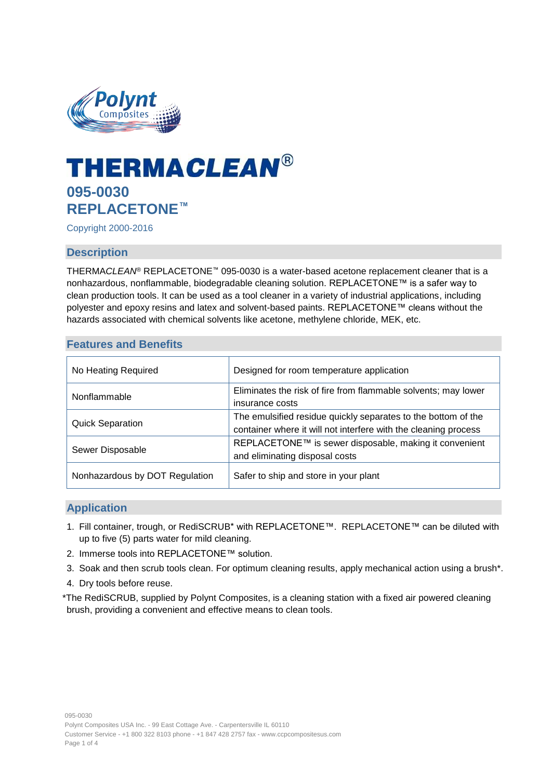

# **THERMACLEAN® 095-0030 REPLACETONE™**

Copyright 2000-2016

# **Description**

THERMA*CLEAN*® REPLACETONE™ 095-0030 is a water-based acetone replacement cleaner that is a nonhazardous, nonflammable, biodegradable cleaning solution. REPLACETONE™ is a safer way to clean production tools. It can be used as a tool cleaner in a variety of industrial applications, including polyester and epoxy resins and latex and solvent-based paints. REPLACETONE™ cleans without the hazards associated with chemical solvents like acetone, methylene chloride, MEK, etc.

#### **Features and Benefits**

| No Heating Required            | Designed for room temperature application                                                                                        |
|--------------------------------|----------------------------------------------------------------------------------------------------------------------------------|
| Nonflammable                   | Eliminates the risk of fire from flammable solvents; may lower<br>insurance costs                                                |
| <b>Quick Separation</b>        | The emulsified residue quickly separates to the bottom of the<br>container where it will not interfere with the cleaning process |
| Sewer Disposable               | REPLACETONE™ is sewer disposable, making it convenient<br>and eliminating disposal costs                                         |
| Nonhazardous by DOT Regulation | Safer to ship and store in your plant                                                                                            |

# **Application**

- 1. Fill container, trough, or RediSCRUB\* with REPLACETONE™. REPLACETONE™ can be diluted with up to five (5) parts water for mild cleaning.
- 2. Immerse tools into REPLACETONE™ solution.
- 3. Soak and then scrub tools clean. For optimum cleaning results, apply mechanical action using a brush\*.
- 4. Dry tools before reuse.

\*The RediSCRUB, supplied by Polynt Composites, is a cleaning station with a fixed air powered cleaning brush, providing a convenient and effective means to clean tools.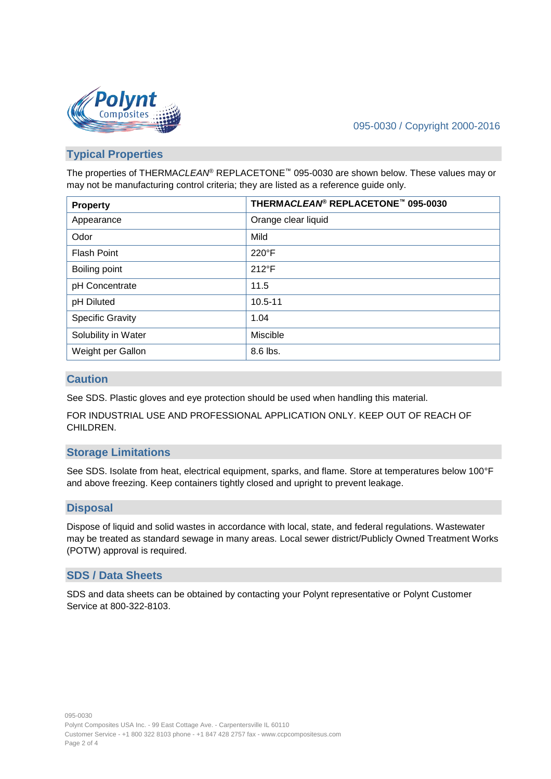

# 095-0030 / Copyright 2000-2016

# **Typical Properties**

The properties of THERMA*CLEAN*® REPLACETONE™ 095-0030 are shown below. These values may or may not be manufacturing control criteria; they are listed as a reference guide only.

| <b>Property</b>         | THERMACLEAN® REPLACETONE™ 095-0030 |
|-------------------------|------------------------------------|
| Appearance              | Orange clear liquid                |
| Odor                    | Mild                               |
| <b>Flash Point</b>      | $220^{\circ}$ F                    |
| Boiling point           | $212^{\circ}F$                     |
| pH Concentrate          | 11.5                               |
| pH Diluted              | $10.5 - 11$                        |
| <b>Specific Gravity</b> | 1.04                               |
| Solubility in Water     | Miscible                           |
| Weight per Gallon       | 8.6 lbs.                           |

#### **Caution**

See SDS. Plastic gloves and eye protection should be used when handling this material.

FOR INDUSTRIAL USE AND PROFESSIONAL APPLICATION ONLY. KEEP OUT OF REACH OF CHILDREN.

# **Storage Limitations**

See SDS. Isolate from heat, electrical equipment, sparks, and flame. Store at temperatures below 100°F and above freezing. Keep containers tightly closed and upright to prevent leakage.

# **Disposal**

Dispose of liquid and solid wastes in accordance with local, state, and federal regulations. Wastewater may be treated as standard sewage in many areas. Local sewer district/Publicly Owned Treatment Works (POTW) approval is required.

#### **SDS / Data Sheets**

SDS and data sheets can be obtained by contacting your Polynt representative or Polynt Customer Service at 800-322-8103.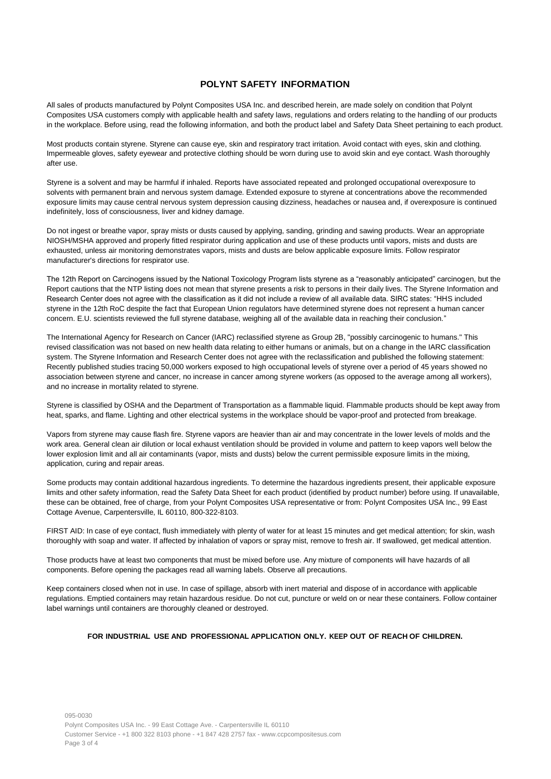#### **POLYNT SAFETY INFORMATION**

All sales of products manufactured by Polynt Composites USA Inc. and described herein, are made solely on condition that Polynt Composites USA customers comply with applicable health and safety laws, regulations and orders relating to the handling of our products in the workplace. Before using, read the following information, and both the product label and Safety Data Sheet pertaining to each product.

Most products contain styrene. Styrene can cause eye, skin and respiratory tract irritation. Avoid contact with eyes, skin and clothing. Impermeable gloves, safety eyewear and protective clothing should be worn during use to avoid skin and eye contact. Wash thoroughly after use.

Styrene is a solvent and may be harmful if inhaled. Reports have associated repeated and prolonged occupational overexposure to solvents with permanent brain and nervous system damage. Extended exposure to styrene at concentrations above the recommended exposure limits may cause central nervous system depression causing dizziness, headaches or nausea and, if overexposure is continued indefinitely, loss of consciousness, liver and kidney damage.

Do not ingest or breathe vapor, spray mists or dusts caused by applying, sanding, grinding and sawing products. Wear an appropriate NIOSH/MSHA approved and properly fitted respirator during application and use of these products until vapors, mists and dusts are exhausted, unless air monitoring demonstrates vapors, mists and dusts are below applicable exposure limits. Follow respirator manufacturer's directions for respirator use.

The 12th Report on Carcinogens issued by the National Toxicology Program lists styrene as a "reasonably anticipated" carcinogen, but the Report cautions that the NTP listing does not mean that styrene presents a risk to persons in their daily lives. The Styrene Information and Research Center does not agree with the classification as it did not include a review of all available data. SIRC states: "HHS included styrene in the 12th RoC despite the fact that European Union regulators have determined styrene does not represent a human cancer concern. E.U. scientists reviewed the full styrene database, weighing all of the available data in reaching their conclusion."

The International Agency for Research on Cancer (IARC) reclassified styrene as Group 2B, "possibly carcinogenic to humans." This revised classification was not based on new health data relating to either humans or animals, but on a change in the IARC classification system. The Styrene Information and Research Center does not agree with the reclassification and published the following statement: Recently published studies tracing 50,000 workers exposed to high occupational levels of styrene over a period of 45 years showed no association between styrene and cancer, no increase in cancer among styrene workers (as opposed to the average among all workers), and no increase in mortality related to styrene.

Styrene is classified by OSHA and the Department of Transportation as a flammable liquid. Flammable products should be kept away from heat, sparks, and flame. Lighting and other electrical systems in the workplace should be vapor-proof and protected from breakage.

Vapors from styrene may cause flash fire. Styrene vapors are heavier than air and may concentrate in the lower levels of molds and the work area. General clean air dilution or local exhaust ventilation should be provided in volume and pattern to keep vapors well below the lower explosion limit and all air contaminants (vapor, mists and dusts) below the current permissible exposure limits in the mixing, application, curing and repair areas.

Some products may contain additional hazardous ingredients. To determine the hazardous ingredients present, their applicable exposure limits and other safety information, read the Safety Data Sheet for each product (identified by product number) before using. If unavailable, these can be obtained, free of charge, from your Polynt Composites USA representative or from: Polynt Composites USA Inc., 99 East Cottage Avenue, Carpentersville, IL 60110, 800-322-8103.

FIRST AID: In case of eye contact, flush immediately with plenty of water for at least 15 minutes and get medical attention; for skin, wash thoroughly with soap and water. If affected by inhalation of vapors or spray mist, remove to fresh air. If swallowed, get medical attention.

Those products have at least two components that must be mixed before use. Any mixture of components will have hazards of all components. Before opening the packages read all warning labels. Observe all precautions.

Keep containers closed when not in use. In case of spillage, absorb with inert material and dispose of in accordance with applicable regulations. Emptied containers may retain hazardous residue. Do not cut, puncture or weld on or near these containers. Follow container label warnings until containers are thoroughly cleaned or destroyed.

#### **FOR INDUSTRIAL USE AND PROFESSIONAL APPLICATION ONLY. KEEP OUT OF REACH OF CHILDREN.**